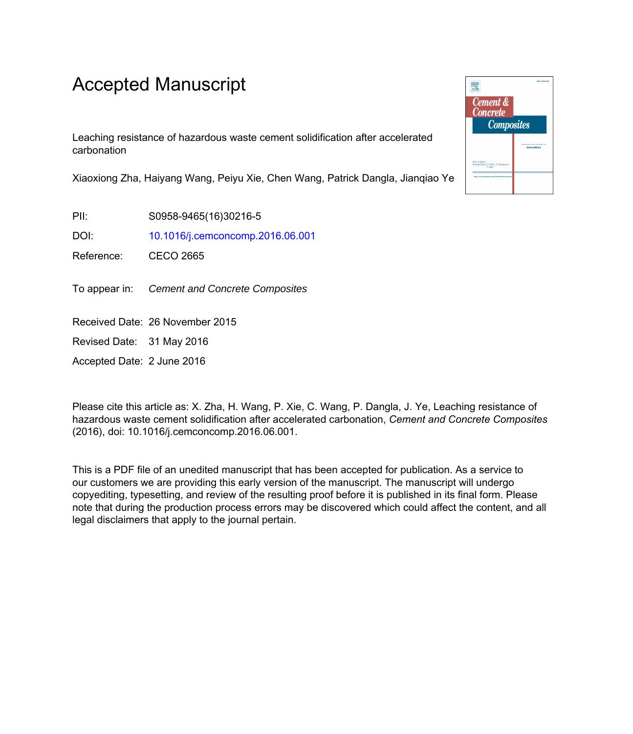## Accepted Manuscript

Leaching resistance of hazardous waste cement solidification after accelerated carbonation

Xiaoxiong Zha, Haiyang Wang, Peiyu Xie, Chen Wang, Patrick Dangla, Jianqiao Ye

PII: S0958-9465(16)30216-5

DOI: [10.1016/j.cemconcomp.2016.06.001](http://dx.doi.org/10.1016/j.cemconcomp.2016.06.001)

Reference: CECO 2665

To appear in: Cement and Concrete Composites

Received Date: 26 November 2015

Revised Date: 31 May 2016

Accepted Date: 2 June 2016

Please cite this article as: X. Zha, H. Wang, P. Xie, C. Wang, P. Dangla, J. Ye, Leaching resistance of hazardous waste cement solidification after accelerated carbonation, *Cement and Concrete Composites* (2016), doi: 10.1016/j.cemconcomp.2016.06.001.

This is a PDF file of an unedited manuscript that has been accepted for publication. As a service to our customers we are providing this early version of the manuscript. The manuscript will undergo copyediting, typesetting, and review of the resulting proof before it is published in its final form. Please note that during the production process errors may be discovered which could affect the content, and all legal disclaimers that apply to the journal pertain.

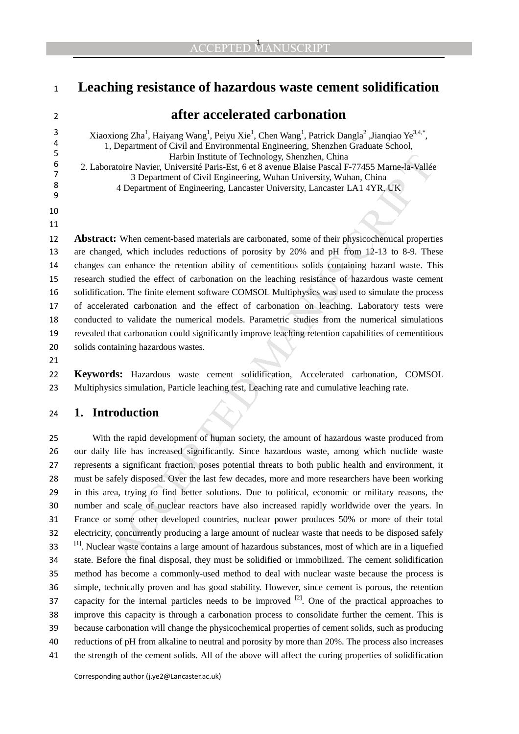## **Leaching resistance of hazardous waste cement solidification**

# 

 

## **after accelerated carbonation**

Xiaoxiong Zha<sup>1</sup>, Haiyang Wang<sup>1</sup>, Peiyu Xie<sup>1</sup>, Chen Wang<sup>1</sup>, Patrick Dangla<sup>2</sup>, Jianqiao Ye<sup>3,4,\*</sup>, 1, Department of Civil and Environmental Engineering, Shenzhen Graduate School, 5<br>
Harbin Institute of Technology, Shenzhen, China<br>
5<br>
2 Laboratoire Navier Université Paris-Est, 6 et 8 avenue Blaise Pascal E <sup>6</sup> 2. Laboratoire Navier, Université Paris-Est, 6 et 8 avenue Blaise Pascal F-77455 Marne-la-Vallée<br>
<sup>6</sup> 3 Department of Civil Engineering Wuhan University Wuhan China <sup>7</sup> 3 Department of Civil Engineering, Wuhan University, Wuhan, China 7<br><sup>8</sup> 4 Department of Engineering, Lancaster University, Lancaster LA 1.4 VR 4 Department of Engineering, Lancaster University, Lancaster LA1 4YR, UK

**Abstract:** When cement-based materials are carbonated, some of their physicochemical properties are changed, which includes reductions of porosity by 20% and pH from 12-13 to 8-9. These changes can enhance the retention ability of cementitious solids containing hazard waste. This research studied the effect of carbonation on the leaching resistance of hazardous waste cement solidification. The finite element software COMSOL Multiphysics was used to simulate the process of accelerated carbonation and the effect of carbonation on leaching. Laboratory tests were conducted to validate the numerical models. Parametric studies from the numerical simulations revealed that carbonation could significantly improve leaching retention capabilities of cementitious solids containing hazardous wastes.

**Keywords:** Hazardous waste cement solidification, Accelerated carbonation, COMSOL 23 Multiphysics simulation, Particle leaching test, Leaching rate and cumulative leaching rate.

### **1. Introduction**

Harbin Institute of Technology, Shenzhen, China<br>
Harbin Institute of Technology, Shenzhen, China<br>
3 Department of Civil Engineering, Wuhan University, Wuhan, China<br>
3 Department of Civil Engineering, Wuhan University, Muha With the rapid development of human society, the amount of hazardous waste produced from our daily life has increased significantly. Since hazardous waste, among which nuclide waste represents a significant fraction, poses potential threats to both public health and environment, it must be safely disposed. Over the last few decades, more and more researchers have been working in this area, trying to find better solutions. Due to political, economic or military reasons, the number and scale of nuclear reactors have also increased rapidly worldwide over the years. In France or some other developed countries, nuclear power produces 50% or more of their total electricity, concurrently producing a large amount of nuclear waste that needs to be disposed safely 33 <sup>[1]</sup>. Nuclear waste contains a large amount of hazardous substances, most of which are in a liquefied state. Before the final disposal, they must be solidified or immobilized. The cement solidification method has become a commonly-used method to deal with nuclear waste because the process is simple, technically proven and has good stability. However, since cement is porous, the retention 37 capacity for the internal particles needs to be improved  $[2]$ . One of the practical approaches to improve this capacity is through a carbonation process to consolidate further the cement. This is because carbonation will change the physicochemical properties of cement solids, such as producing reductions of pH from alkaline to neutral and porosity by more than 20%. The process also increases the strength of the cement solids. All of the above will affect the curing properties of solidification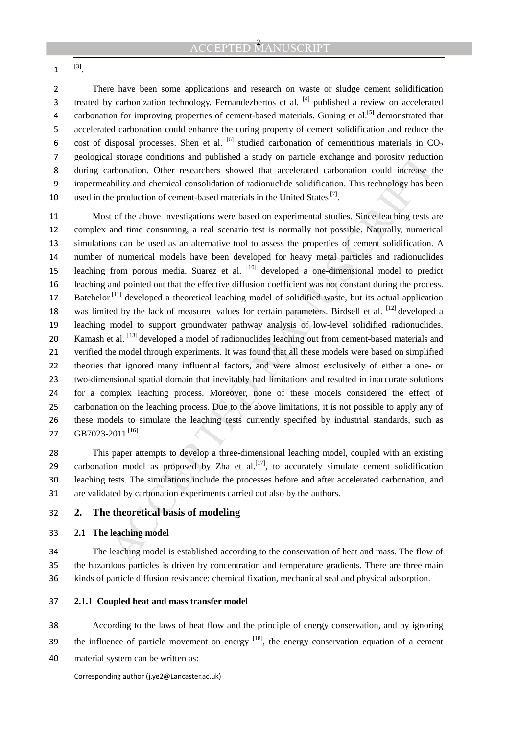<sup>[3]</sup>.

There have been some applications and research on waste or sludge cement solidification 3 treated by carbonization technology. Fernandezbertos et al.  $^{[4]}$  published a review on accelerated 4 carbonation for improving properties of cement-based materials. Guning et al.<sup>[5]</sup> demonstrated that accelerated carbonation could enhance the curing property of cement solidification and reduce the 6 cost of disposal processes. Shen et al. <sup>[6]</sup> studied carbonation of cementitious materials in CO<sub>2</sub> geological storage conditions and published a study on particle exchange and porosity reduction during carbonation. Other researchers showed that accelerated carbonation could increase the impermeability and chemical consolidation of radionuclide solidification. This technology has been 10 used in the production of cement-based materials in the United States  $^{[7]}$ .

al storage conditions and published a study on particle exchange and porosity reduction<br>arbonation. Other researchers showed that accelerated carbonation could increase the<br>biblity and chemical consolidation of radiomacli Most of the above investigations were based on experimental studies. Since leaching tests are complex and time consuming, a real scenario test is normally not possible. Naturally, numerical simulations can be used as an alternative tool to assess the properties of cement solidification. A number of numerical models have been developed for heavy metal particles and radionuclides 15 leaching from porous media. Suarez et al. <sup>[10]</sup> developed a one-dimensional model to predict leaching and pointed out that the effective diffusion coefficient was not constant during the process.  $B$ atchelor<sup>[11]</sup> developed a theoretical leaching model of solidified waste, but its actual application 18 was limited by the lack of measured values for certain parameters. Birdsell et al. [12] developed a leaching model to support groundwater pathway analysis of low-level solidified radionuclides. 20 Kamash et al. <sup>[13]</sup> developed a model of radionuclides leaching out from cement-based materials and verified the model through experiments. It was found that all these models were based on simplified theories that ignored many influential factors, and were almost exclusively of either a one- or two-dimensional spatial domain that inevitably had limitations and resulted in inaccurate solutions for a complex leaching process. Moreover, none of these models considered the effect of carbonation on the leaching process. Due to the above limitations, it is not possible to apply any of these models to simulate the leaching tests currently specified by industrial standards, such as **GB7023-2011**  $^{[16]}$ .

This paper attempts to develop a three-dimensional leaching model, coupled with an existing 29 carbonation model as proposed by Zha et al.<sup>[17]</sup>, to accurately simulate cement solidification leaching tests. The simulations include the processes before and after accelerated carbonation, and are validated by carbonation experiments carried out also by the authors.

**2. The theoretical basis of modeling** 

### **2.1 The leaching model**

The leaching model is established according to the conservation of heat and mass. The flow of the hazardous particles is driven by concentration and temperature gradients. There are three main kinds of particle diffusion resistance: chemical fixation, mechanical seal and physical adsorption.

- **2.1.1 Coupled heat and mass transfer model**
- According to the laws of heat flow and the principle of energy conservation, and by ignoring 39 the influence of particle movement on energy  $[18]$ , the energy conservation equation of a cement
- material system can be written as: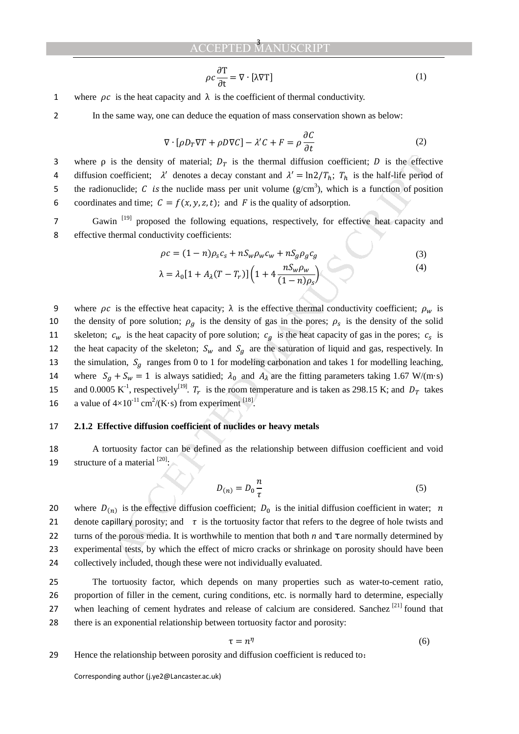#### **ACCEPTED** 3

$$
\rho c \frac{\partial \mathbf{T}}{\partial \mathbf{t}} = \nabla \cdot [\lambda \nabla \mathbf{T}] \tag{1}
$$

1 where  $\rho c$  is the heat capacity and  $\lambda$  is the coefficient of thermal conductivity.

2 In the same way, one can deduce the equation of mass conservation shown as below:

$$
\nabla \cdot [\rho D_T \nabla T + \rho D \nabla C] - \lambda' C + F = \rho \frac{\partial C}{\partial t}
$$
 (2)

3 where  $\rho$  is the density of material;  $D_T$  is the thermal diffusion coefficient; D is the effective 4 diffusion coefficient;  $\lambda'$  denotes a decay constant and  $\lambda' = \ln 2/T_h$ ;  $T_h$  is the half-life period of 5 the radionuclide; C is the nuclide mass per unit volume  $(g/cm<sup>3</sup>)$ , which is a function of position 6 coordinates and time;  $C = f(x, y, z, t)$ ; and F is the quality of adsorption.

7 Gawin<sup>[19]</sup> proposed the following equations, respectively, for effective heat capacity and 8 effective thermal conductivity coefficients:

$$
\rho c = (1 - n)\rho_s c_s + nS_w \rho_w c_w + nS_g \rho_g c_g
$$
\n
$$
\lambda = \lambda_0 [1 + A_\lambda (T - T_r)] \left( 1 + 4 \frac{nS_w \rho_w}{(1 - n)\rho_s} \right)
$$
\n(3)

is the density of material;  $D_T$  is the thermal diffusion coefficient; *D* is the effection coefficient; *Z* denotes a decay constant and *X* =  $\ln 2/T_h$ ; *T<sub>h</sub>* is the half-life period coefficient; *Z* denotes a decay con 9 where  $\rho c$  is the effective heat capacity;  $\lambda$  is the effective thermal conductivity coefficient;  $\rho_w$  is 10 the density of pore solution;  $\rho_q$  is the density of gas in the pores;  $\rho_s$  is the density of the solid 11 skeleton;  $c_w$  is the heat capacity of pore solution;  $c_g$  is the heat capacity of gas in the pores;  $c_s$  is 12 the heat capacity of the skeleton;  $S_w$  and  $S_q$  are the saturation of liquid and gas, respectively. In 13 the simulation,  $S<sub>g</sub>$  ranges from 0 to 1 for modeling carbonation and takes 1 for modelling leaching, 14 where  $S_g + S_w = 1$  is always satidied;  $\lambda_0$  and  $A_\lambda$  are the fitting parameters taking 1.67 W/(m·s) 15 and 0.0005 K<sup>-1</sup>, respectively<sup>[19]</sup>.  $T_r$  is the room temperature and is taken as 298.15 K; and  $D_T$  takes 16 a value of  $4 \times 10^{-11}$  cm<sup>2</sup>/(K·s) from experiment <sup>[18]</sup>.

### 17 **2.1.2 Effective diffusion coefficient of nuclides or heavy metals**

18 A tortuosity factor can be defined as the relationship between diffusion coefficient and void 19 structure of a material  $^{[20]}$ :

$$
D_{(n)} = D_0 \frac{n}{\tau} \tag{5}
$$

20 where  $D_{(n)}$  is the effective diffusion coefficient;  $D_0$  is the initial diffusion coefficient in water; *n* 21 denote capillary porosity; and  $\tau$  is the tortuosity factor that refers to the degree of hole twists and 22 turns of the porous media. It is worthwhile to mention that both *n* and  $\tau$  are normally determined by 23 experimental tests, by which the effect of micro cracks or shrinkage on porosity should have been 24 collectively included, though these were not individually evaluated.

The tortuosity factor, which depends on many properties such as water-to-cement ratio, proportion of filler in the cement, curing conditions, etc. is normally hard to determine, especially 27 when leaching of cement hydrates and release of calcium are considered. Sanchez  $[21]$  found that there is an exponential relationship between tortuosity factor and porosity:

$$
\tau = n^{\eta} \tag{6}
$$

29 Hence the relationship between porosity and diffusion coefficient is reduced to: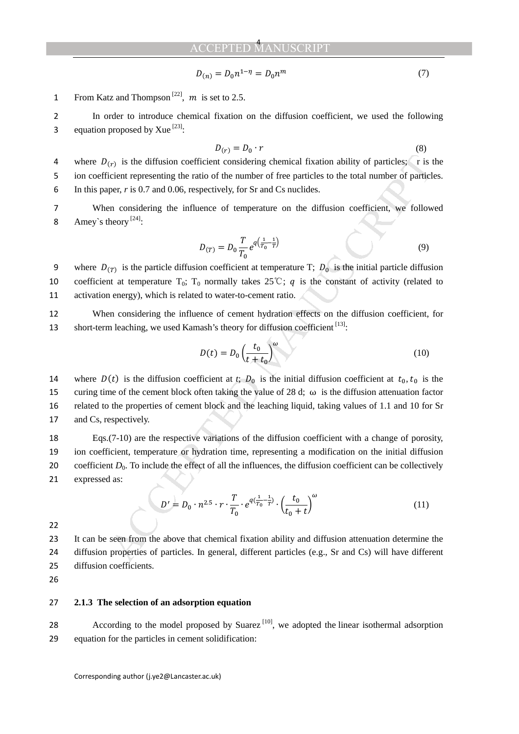$$
D_{(n)} = D_0 n^{1-\eta} = D_0 n^m
$$
\n(7)

1 From Katz and Thompson<sup>[22]</sup>, *m* is set to 2.5.

2 In order to introduce chemical fixation on the diffusion coefficient, we used the following 3 equation proposed by Xue  $^{[23]}\cdot$ 

$$
D(r) = D_0 \cdot r \tag{8}
$$

4 where  $D(r)$  is the diffusion coefficient considering chemical fixation ability of particles;  $\Gamma$  is the 5 ion coefficient representing the ratio of the number of free particles to the total number of particles. 6 In this paper, *r* is 0.7 and 0.06, respectively, for Sr and Cs nuclides.

7 When considering the influence of temperature on the diffusion coefficient, we followed 8 Amey's theory  $[24]$ :

$$
D_{(T)} = D_0 \frac{T}{T_0} e^{q(\frac{1}{T_0} - \frac{1}{T})}
$$
\n(9)

9 where  $D_{(T)}$  is the particle diffusion coefficient at temperature T;  $D_0$  is the initial particle diffusion 10 coefficient at temperature  $T_0$ ;  $T_0$  normally takes 25°C; q is the constant of activity (related to 11 activation energy), which is related to water-to-cement ratio.

12 When considering the influence of cement hydration effects on the diffusion coefficient, for 13 short-term leaching, we used Kamash's theory for diffusion coefficient [13].

$$
D(t) = D_0 \left(\frac{t_0}{t + t_0}\right)^{\omega} \tag{10}
$$

(*x*) is the diffusion coefficient considering chemical fixation ability of particles;  $\epsilon$  is ticent representing the ratio of the number of free particles to the total number of particles;<br>
netchet representing the rati 14 where  $D(t)$  is the diffusion coefficient at *t*;  $D_0$  is the initial diffusion coefficient at  $t_0, t_0$  is the 15 curing time of the cement block often taking the value of 28 d;  $\omega$  is the diffusion attenuation factor 16 related to the properties of cement block and the leaching liquid, taking values of 1.1 and 10 for Sr 17 and Cs, respectively.

Eqs.(7-10) are the respective variations of the diffusion coefficient with a change of porosity, ion coefficient, temperature or hydration time, representing a modification on the initial diffusion 20 coefficient  $D_0$ . To include the effect of all the influences, the diffusion coefficient can be collectively expressed as:

$$
D' = D_0 \cdot n^{2.5} \cdot r \cdot \frac{T}{T_0} \cdot e^{q(\frac{1}{T_0} - \frac{1}{T})} \cdot \left(\frac{t_0}{t_0 + t}\right)^{\omega}
$$
(11)

22

23 It can be seen from the above that chemical fixation ability and diffusion attenuation determine the 24 diffusion properties of particles. In general, different particles (e.g., Sr and Cs) will have different 25 diffusion coefficients.

26

### 27 **2.1.3 The selection of an adsorption equation**

28 • According to the model proposed by Suarez  $[10]$ , we adopted the linear isothermal adsorption 29 equation for the particles in cement solidification: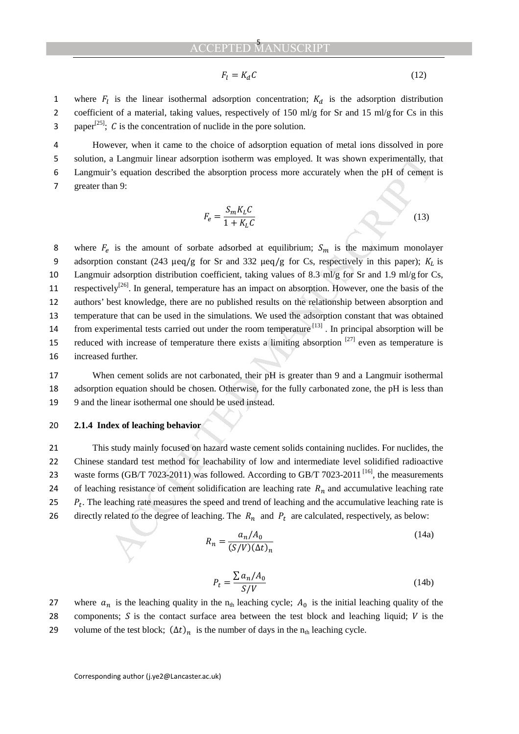#### **ACCEPTED** 5

$$
F_l = K_d C \tag{12}
$$

1 where  $F_l$  is the linear isothermal adsorption concentration;  $K_d$  is the adsorption distribution 2 coefficient of a material, taking values, respectively of 150 ml/g for Sr and 15 ml/g for Cs in this 3 paper<sup>[25]</sup>; C is the concentration of nuclide in the pore solution.

However, when it came to the choice of adsorption equation of metal ions dissolved in pore solution, a Langmuir linear adsorption isotherm was employed. It was shown experimentally, that Langmuir's equation described the absorption process more accurately when the pH of cement is greater than 9:

$$
F_e = \frac{S_m K_L C}{1 + K_L C}
$$
\n(13)

a Langmuir linear usborption isotherm was employed. It was shown experimentally, the sequention described the absorption process more accurately when the pH of cement an 9:<br>  $F_a = \frac{S_m K_L C}{1 + K_L C}$  (13)<br>
is the amount of sor 8 where  $F_e$  is the amount of sorbate adsorbed at equilibrium;  $S_m$  is the maximum monolayer 9 adsorption constant (243 μeq/g for Sr and 332 μeq/g for Cs, respectively in this paper);  $K_L$  is 10 Langmuir adsorption distribution coefficient, taking values of 8.3 ml/g for Sr and 1.9 ml/g for Cs, 11 respectively<sup>[26]</sup>. In general, temperature has an impact on absorption. However, one the basis of the 12 authors' best knowledge, there are no published results on the relationship between absorption and 13 temperature that can be used in the simulations. We used the adsorption constant that was obtained 14 from experimental tests carried out under the room temperature <sup>[13]</sup>. In principal absorption will be 15 reduced with increase of temperature there exists a limiting absorption  $[27]$  even as temperature is 16 increased further.

17 When cement solids are not carbonated, their pH is greater than 9 and a Langmuir isothermal 18 adsorption equation should be chosen. Otherwise, for the fully carbonated zone, the pH is less than 19 9 and the linear isothermal one should be used instead.

#### 20 **2.1.4 Index of leaching behavior**

21 This study mainly focused on hazard waste cement solids containing nuclides. For nuclides, the 22 Chinese standard test method for leachability of low and intermediate level solidified radioactive 23 waste forms (GB/T 7023-2011) was followed. According to GB/T 7023-2011<sup>[16]</sup>, the measurements 24 of leaching resistance of cement solidification are leaching rate  $R<sub>n</sub>$  and accumulative leaching rate 25  $P_t$ . The leaching rate measures the speed and trend of leaching and the accumulative leaching rate is 26 directly related to the degree of leaching. The  $R_n$  and  $P_t$  are calculated, respectively, as below:

$$
R_n = \frac{a_n/A_0}{(S/V)(\Delta t)_n} \tag{14a}
$$

$$
P_t = \frac{\sum a_n / A_0}{S/V}
$$
 (14b)

27 where  $a_n$  is the leaching quality in the n<sub>th</sub> leaching cycle;  $A_0$  is the initial leaching quality of the 28 components;  $S$  is the contact surface area between the test block and leaching liquid;  $V$  is the 29 volume of the test block;  $(\Delta t)_n$  is the number of days in the n<sub>th</sub> leaching cycle.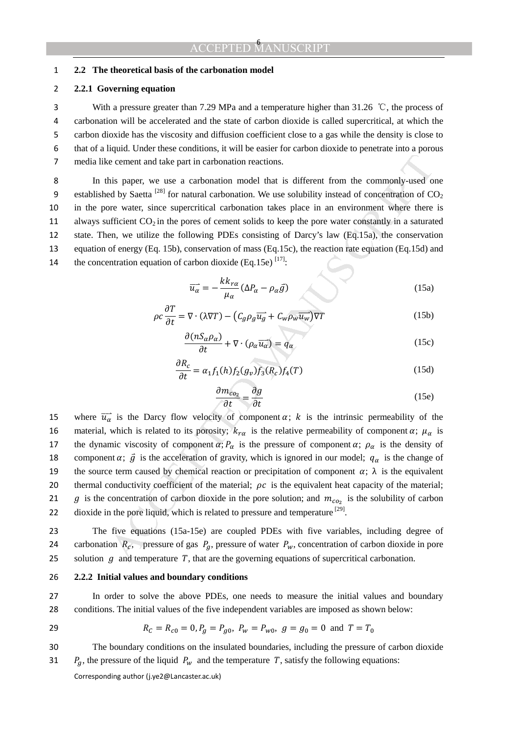### 1 **2.2 The theoretical basis of the carbonation model**

### 2 **2.2.1 Governing equation**

3 With a pressure greater than 7.29 MPa and a temperature higher than 31.26  $\degree$ C, the process of carbonation will be accelerated and the state of carbon dioxide is called supercritical, at which the carbon dioxide has the viscosity and diffusion coefficient close to a gas while the density is close to that of a liquid. Under these conditions, it will be easier for carbon dioxide to penetrate into a porous media like cement and take part in carbonation reactions.

8 In this paper, we use a carbonation model that is different from the commonly-used one 9 established by Saetta <sup>[28]</sup> for natural carbonation. We use solubility instead of concentration of  $CO<sub>2</sub>$ 10 in the pore water, since supercritical carbonation takes place in an environment where there is 11 always sufficient  $CO_2$  in the pores of cement solids to keep the pore water constantly in a saturated 12 state. Then, we utilize the following PDEs consisting of Darcy's law (Eq.15a), the conservation 13 equation of energy (Eq. 15b), conservation of mass (Eq.15c), the reaction rate equation (Eq.15d) and 14 the concentration equation of carbon dioxide (Eq.15e)  $^{[17]}$ .

$$
\overrightarrow{u_{\alpha}} = -\frac{k k_{r\alpha}}{\mu_{\alpha}} (\Delta P_{\alpha} - \rho_{\alpha} \overrightarrow{g})
$$
 (15a)

$$
\rho c \frac{\partial T}{\partial t} = \nabla \cdot (\lambda \nabla T) - \left( C_g \rho_g \overrightarrow{u_g} + C_w \rho_w \overrightarrow{u_w} \right) \nabla T \tag{15b}
$$

$$
\frac{\partial (nS_{\alpha}\rho_{\alpha})}{\partial t} + \nabla \cdot (\rho_{\alpha}\overrightarrow{u_{\alpha}}) = q_{\alpha}
$$
 (15c)

$$
\frac{\partial R_c}{\partial t} = \alpha_1 f_1(h) f_2(g_v) f_3(R_c) f_4(T) \tag{15d}
$$

$$
\frac{\partial m_{co_2}}{\partial t} = \frac{\partial g}{\partial t} \tag{15e}
$$

e cement and take part in carbonation reactions.<br>
this paper, we use a carbonation model that is different from the commonly-used of<br>
dy Statel <sup>789</sup> for natural canbonation. We use solubility instead of concentration of 15 where  $\overrightarrow{u_{\alpha}}$  is the Darcy flow velocity of component  $\alpha$ ;  $k$  is the intrinsic permeability of the 16 material, which is related to its porosity;  $k_{r\alpha}$  is the relative permeability of component  $\alpha$ ;  $\mu_{\alpha}$  is 17 the dynamic viscosity of component  $\alpha$ ;  $P_\alpha$  is the pressure of component  $\alpha$ ;  $\rho_\alpha$  is the density of 18 component  $\alpha$ ;  $\vec{g}$  is the acceleration of gravity, which is ignored in our model;  $q_\alpha$  is the change of 19 the source term caused by chemical reaction or precipitation of component  $\alpha$ ;  $\lambda$  is the equivalent 20 thermal conductivity coefficient of the material;  $\rho c$  is the equivalent heat capacity of the material; 21 g is the concentration of carbon dioxide in the pore solution; and  $m_{c_0}$  is the solubility of carbon 22 dioxide in the pore liquid, which is related to pressure and temperature  $^{[29]}$ .

23 The five equations (15a-15e) are coupled PDEs with five variables, including degree of 24 carbonation  $R_c$ , pressure of gas  $P_q$ , pressure of water  $P_w$ , concentration of carbon dioxide in pore 25 solution  $g$  and temperature  $T$ , that are the governing equations of supercritical carbonation.

#### 26 **2.2.2 Initial values and boundary conditions**

27 In order to solve the above PDEs, one needs to measure the initial values and boundary 28 conditions. The initial values of the five independent variables are imposed as shown below:

29 
$$
R_C = R_{c0} = 0
$$
,  $P_g = P_{g0}$ ,  $P_w = P_{w0}$ ,  $g = g_0 = 0$  and  $T = T_0$ 

30 The boundary conditions on the insulated boundaries, including the pressure of carbon dioxide 31  $P_g$ , the pressure of the liquid  $P_w$  and the temperature T, satisfy the following equations: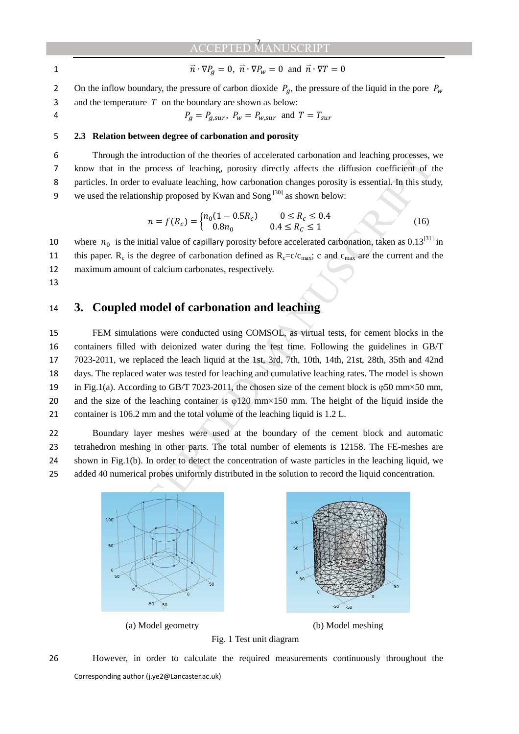1  $\vec{n} \cdot \nabla P_q = 0$ ,  $\vec{n} \cdot \nabla P_w = 0$  and  $\vec{n} \cdot \nabla T = 0$ 

2 On the inflow boundary, the pressure of carbon dioxide  $P_q$ , the pressure of the liquid in the pore  $P_w$ 3 and the temperature  $T$  on the boundary are shown as below:

### 4  $P_a = P_{a,sur}, P_w = P_{w,sur}$  and  $T = T_{sur}$

### 5 **2.3 Relation between degree of carbonation and porosity**

Through the introduction of the theories of accelerated carbonation and leaching processes, we know that in the process of leaching, porosity directly affects the diffusion coefficient of the particles. In order to evaluate leaching, how carbonation changes porosity is essential. In this study, 9 we used the relationship proposed by Kwan and Song  $\left[30\right]$  as shown below:

$$
n = f(R_c) = \begin{cases} n_0(1 - 0.5R_c) & 0 \le R_c \le 0.4\\ 0.8n_0 & 0.4 \le R_c \le 1 \end{cases}
$$
 (16)

10 where  $n_0$  is the initial value of capillary porosity before accelerated carbonation, taken as 0.13<sup>[31]</sup> in 11 this paper. R<sub>c</sub> is the degree of carbonation defined as  $R_c = c/c_{\text{max}}$ ; c and  $c_{\text{max}}$  are the current and the 12 maximum amount of calcium carbonates, respectively.

13

### 14 **3. Coupled model of carbonation and leaching**

supplies hurtoduction of the theories of accelerated curbons and leading processes.<br>  $u$  at in the process of leaching, porosity directly affects the diffusion coefficient of the model to evaluate leaching, how carbonatio FEM simulations were conducted using COMSOL, as virtual tests, for cement blocks in the containers filled with deionized water during the test time. Following the guidelines in GB/T 7023-2011, we replaced the leach liquid at the 1st, 3rd, 7th, 10th, 14th, 21st, 28th, 35th and 42nd days. The replaced water was tested for leaching and cumulative leaching rates. The model is shown in Fig.1(a). According to GB/T 7023-2011, the chosen size of the cement block is φ50 mm×50 mm, 20 and the size of the leaching container is  $\varphi$ 120 mm×150 mm. The height of the liquid inside the container is 106.2 mm and the total volume of the leaching liquid is 1.2 L.

Boundary layer meshes were used at the boundary of the cement block and automatic tetrahedron meshing in other parts. The total number of elements is 12158. The FE-meshes are shown in Fig.1(b). In order to detect the concentration of waste particles in the leaching liquid, we added 40 numerical probes uniformly distributed in the solution to record the liquid concentration.



(a) Model geometry (b) Model meshing



Corresponding author (j.ye2@Lancaster.ac.uk) 26 However, in order to calculate the required measurements continuously throughout the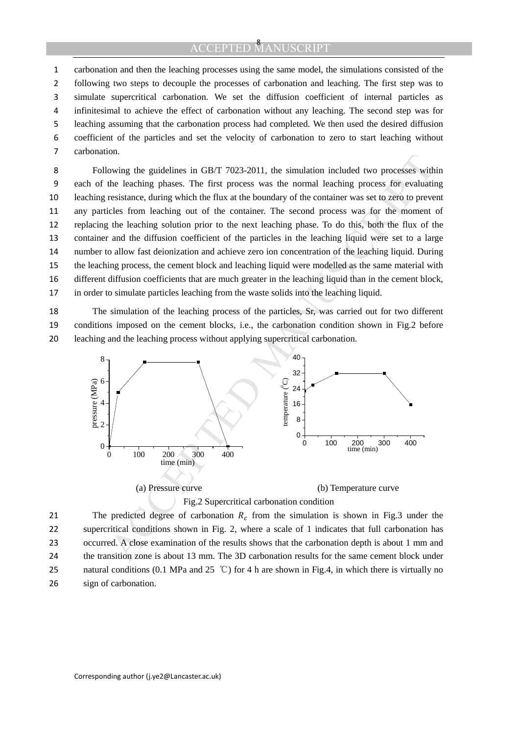carbonation and then the leaching processes using the same model, the simulations consisted of the following two steps to decouple the processes of carbonation and leaching. The first step was to simulate supercritical carbonation. We set the diffusion coefficient of internal particles as infinitesimal to achieve the effect of carbonation without any leaching. The second step was for leaching assuming that the carbonation process had completed. We then used the desired diffusion coefficient of the particles and set the velocity of carbonation to zero to start leaching without carbonation.

Following the guidelines in GB/T 7023-2011, the simulation included two processes within each of the leaching phases. The first process was the normal leaching process for evaluating leaching resistance, during which the flux at the boundary of the container was set to zero to prevent any particles from leaching out of the container. The second process was for the moment of replacing the leaching solution prior to the next leaching phase. To do this, both the flux of the container and the diffusion coefficient of the particles in the leaching liquid were set to a large number to allow fast deionization and achieve zero ion concentration of the leaching liquid. During the leaching process, the cement block and leaching liquid were modelled as the same material with different diffusion coefficients that are much greater in the leaching liquid than in the cement block, in order to simulate particles leaching from the waste solids into the leaching liquid.

The simulation of the leaching process of the particles, Sr, was carried out for two different conditions imposed on the cement blocks, i.e., the carbonation condition shown in Fig.2 before leaching and the leaching process without applying supercritical carbonation.



The predicted degree of carbonation  $R_c$  from the simulation is shown in Fig.3 under the supercritical conditions shown in Fig. 2, where a scale of 1 indicates that full carbonation has occurred. A close examination of the results shows that the carbonation depth is about 1 mm and the transition zone is about 13 mm. The 3D carbonation results for the same cement block under 25 natural conditions (0.1 MPa and 25  $\degree$ C) for 4 h are shown in Fig.4, in which there is virtually no sign of carbonation.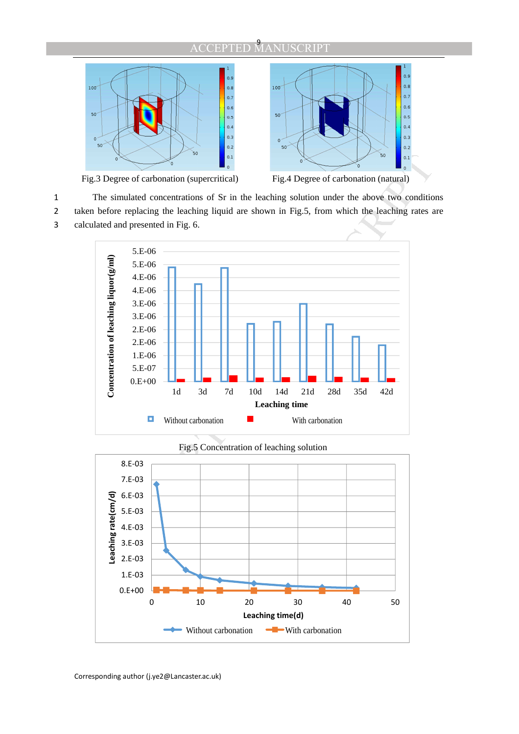



Fig.3 Degree of carbonation (supercritical) Fig.4 Degree of carbonation (natural)

1 The simulated concentrations of Sr in the leaching solution under the above two conditions 2 taken before replacing the leaching liquid are shown in Fig.5, from which the leaching rates are 3 calculated and presented in Fig. 6.



Fig.5 Concentration of leaching solution

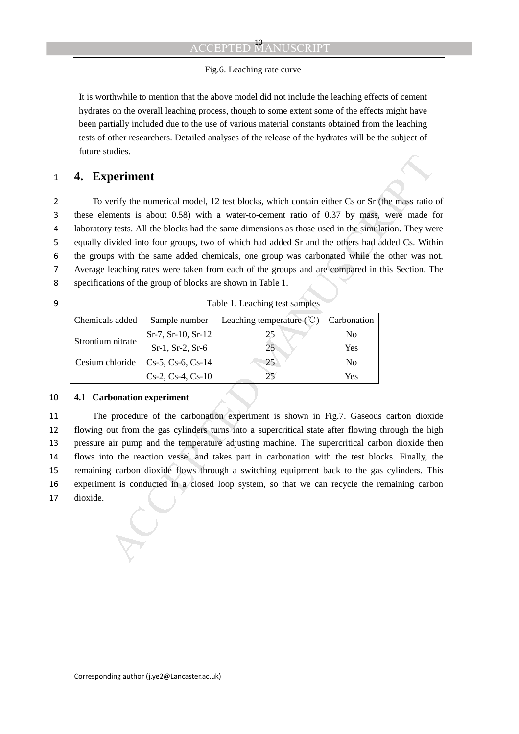### Fig.6. Leaching rate curve

It is worthwhile to mention that the above model did not include the leaching effects of cement hydrates on the overall leaching process, though to some extent some of the effects might have been partially included due to the use of various material constants obtained from the leaching tests of other researchers. Detailed analyses of the release of the hydrates will be the subject of future studies.

### 1 **4. Experiment**

**Example 1.**<br> **Example 1.1**<br> **Example 1.2** test blocks, which contain either Cs or Sr (the mass ratio<br>
mements is about 0.58) with a water-to-cenent ratio of 0.37 by mass, were made<br>
y tests. All the blocks had the same d To verify the numerical model, 12 test blocks, which contain either Cs or Sr (the mass ratio of these elements is about 0.58) with a water-to-cement ratio of 0.37 by mass, were made for laboratory tests. All the blocks had the same dimensions as those used in the simulation. They were equally divided into four groups, two of which had added Sr and the others had added Cs. Within the groups with the same added chemicals, one group was carbonated while the other was not. Average leaching rates were taken from each of the groups and are compared in this Section. The specifications of the group of blocks are shown in Table 1.

9 Table 1. Leaching test samples

| Chemicals added   | Sample number             | Leaching temperature $(\mathcal{C})$ | Carbonation    |
|-------------------|---------------------------|--------------------------------------|----------------|
| Strontium nitrate | $Sr-7, Sr-10, Sr-12$      | 25                                   | No             |
|                   | $Sr-1, Sr-2, Sr-6$        | 25                                   | Yes            |
| Cesium chloride   | $Cs-5$ , $Cs-6$ , $Cs-14$ | 25                                   | N <sub>0</sub> |
|                   | $Cs-2, Cs-4, Cs-10$       | 25                                   | Yes            |

### 10 **4.1 Carbonation experiment**

The procedure of the carbonation experiment is shown in Fig.7. Gaseous carbon dioxide flowing out from the gas cylinders turns into a supercritical state after flowing through the high pressure air pump and the temperature adjusting machine. The supercritical carbon dioxide then flows into the reaction vessel and takes part in carbonation with the test blocks. Finally, the remaining carbon dioxide flows through a switching equipment back to the gas cylinders. This experiment is conducted in a closed loop system, so that we can recycle the remaining carbon 17 dioxide.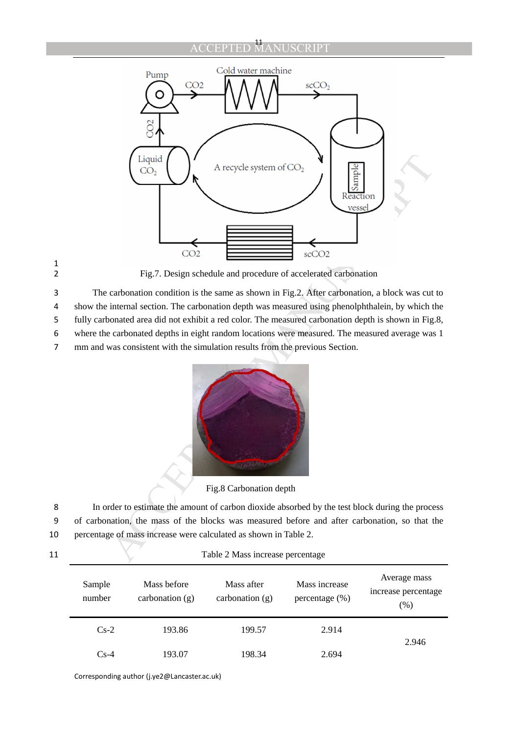

1

2 Fig.7. Design schedule and procedure of accelerated carbonation

3 The carbonation condition is the same as shown in Fig.2. After carbonation, a block was cut to

4 show the internal section. The carbonation depth was measured using phenolphthalein, by which the

5 fully carbonated area did not exhibit a red color. The measured carbonation depth is shown in Fig.8,

6 where the carbonated depths in eight random locations were measured. The measured average was 1

7 mm and was consistent with the simulation results from the previous Section.



Fig.8 Carbonation depth

8 In order to estimate the amount of carbon dioxide absorbed by the test block during the process 9 of carbonation, the mass of the blocks was measured before and after carbonation, so that the 10 percentage of mass increase were calculated as shown in Table 2.

| Sample<br>number | Mass before<br>carbonation $(g)$ | Mass after<br>carbonation $(g)$ | Mass increase<br>percentage $(\%)$ | Average mass<br>increase percentage<br>(%) |  |
|------------------|----------------------------------|---------------------------------|------------------------------------|--------------------------------------------|--|
| $Cs-2$           | 193.86                           | 199.57                          | 2.914                              | 2.946                                      |  |
| $Cs-4$           | 193.07                           | 198.34                          | 2.694                              |                                            |  |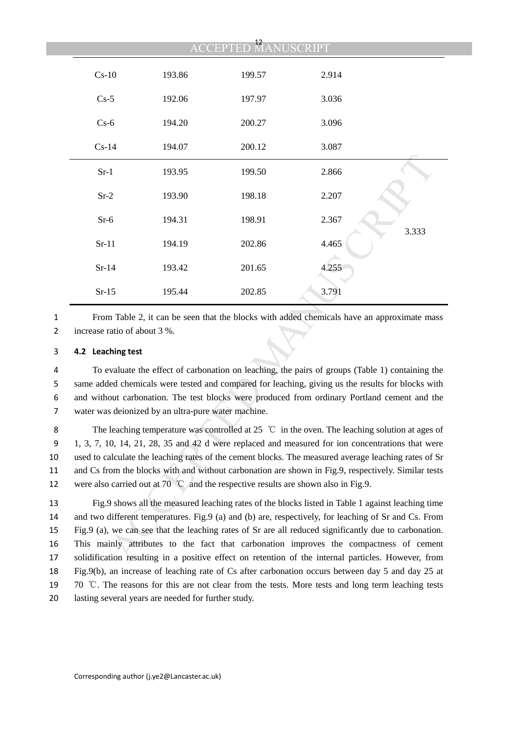|   |                                                                                                                                                                                                                                                                                                                                                                                                                                                                                                                            |        | $\frac{12}{\sqrt{2}}$ | <b>USCRIPT</b> |       |  |
|---|----------------------------------------------------------------------------------------------------------------------------------------------------------------------------------------------------------------------------------------------------------------------------------------------------------------------------------------------------------------------------------------------------------------------------------------------------------------------------------------------------------------------------|--------|-----------------------|----------------|-------|--|
|   | $Cs-10$                                                                                                                                                                                                                                                                                                                                                                                                                                                                                                                    | 193.86 | 199.57                | 2.914          |       |  |
|   | $Cs-5$                                                                                                                                                                                                                                                                                                                                                                                                                                                                                                                     | 192.06 | 197.97                | 3.036          |       |  |
|   | $Cs-6$                                                                                                                                                                                                                                                                                                                                                                                                                                                                                                                     | 194.20 | 200.27                | 3.096          |       |  |
|   | $Cs-14$                                                                                                                                                                                                                                                                                                                                                                                                                                                                                                                    | 194.07 | 200.12                | 3.087          |       |  |
|   | $Sr-1$                                                                                                                                                                                                                                                                                                                                                                                                                                                                                                                     | 193.95 | 199.50                | 2.866          |       |  |
|   | $Sr-2$                                                                                                                                                                                                                                                                                                                                                                                                                                                                                                                     | 193.90 | 198.18                | 2.207          |       |  |
|   | $Sr-6$                                                                                                                                                                                                                                                                                                                                                                                                                                                                                                                     | 194.31 | 198.91                | 2.367          |       |  |
|   | $Sr-11$                                                                                                                                                                                                                                                                                                                                                                                                                                                                                                                    | 194.19 | 202.86                | 4.465          | 3.333 |  |
|   | $Sr-14$                                                                                                                                                                                                                                                                                                                                                                                                                                                                                                                    | 193.42 | 201.65                | 4.255          |       |  |
|   | $Sr-15$                                                                                                                                                                                                                                                                                                                                                                                                                                                                                                                    | 195.44 | 202.85                | 3.791          |       |  |
|   | From Table 2, it can be seen that the blocks with added chemicals have an approximate mass<br>increase ratio of about 3 %.                                                                                                                                                                                                                                                                                                                                                                                                 |        |                       |                |       |  |
|   | 4.2 Leaching test                                                                                                                                                                                                                                                                                                                                                                                                                                                                                                          |        |                       |                |       |  |
|   | To evaluate the effect of carbonation on leaching, the pairs of groups (Table 1) containing the<br>same added chemicals were tested and compared for leaching, giving us the results for blocks with<br>and without carbonation. The test blocks were produced from ordinary Portland cement and the<br>water was deionized by an ultra-pure water machine.                                                                                                                                                                |        |                       |                |       |  |
|   | The leaching temperature was controlled at 25 $\degree$ C in the oven. The leaching solution at ages of<br>1, 3, 7, 10, 14, 21, 28, 35 and 42 d were replaced and measured for ion concentrations that were<br>used to calculate the leaching rates of the cement blocks. The measured average leaching rates of Sr<br>and Cs from the blocks with and without carbonation are shown in Fig.9, respectively. Similar tests<br>were also carried out at 70 $^{\circ}$ C and the respective results are shown also in Fig.9. |        |                       |                |       |  |
| 1 | Fig.9 shows all the measured leaching rates of the blocks listed in Table 1 against leaching time<br>and two different temperatures. Fig.9 (a) and (b) are, respectively, for leaching of Sr and Cs. From<br>Fig.9 (a), we can see that the leaching rates of Sr are all reduced significantly due to carbonation.<br>This mainly attributes to the fact that carbonation improves the compactness of cement<br>solidification resulting in a positive effect on retention of the internal particles. However, from        |        |                       |                |       |  |

### 3 **4.2 Leaching test**

Fig.9 shows all the measured leaching rates of the blocks listed in Table 1 against leaching time and two different temperatures. Fig.9 (a) and (b) are, respectively, for leaching of Sr and Cs. From Fig.9 (a), we can see that the leaching rates of Sr are all reduced significantly due to carbonation. This mainly attributes to the fact that carbonation improves the compactness of cement solidification resulting in a positive effect on retention of the internal particles. However, from Fig.9(b), an increase of leaching rate of Cs after carbonation occurs between day 5 and day 25 at 19 70  $\degree$ C. The reasons for this are not clear from the tests. More tests and long term leaching tests lasting several years are needed for further study.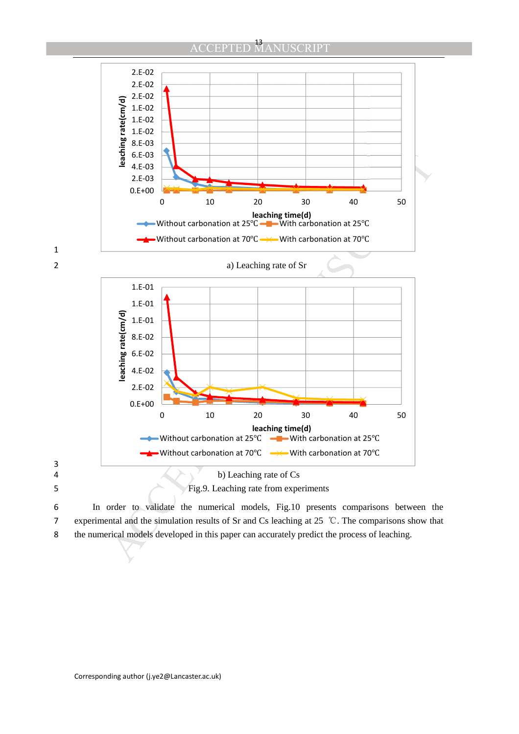

6 In order to validate the numerical models, Fig.10 presents comparisons between the 7 experimental and the simulation results of Sr and Cs leaching at 25  $\degree$ C. The comparisons show that 8 the numerical models developed in this paper can accurately predict the process of leaching.

1

3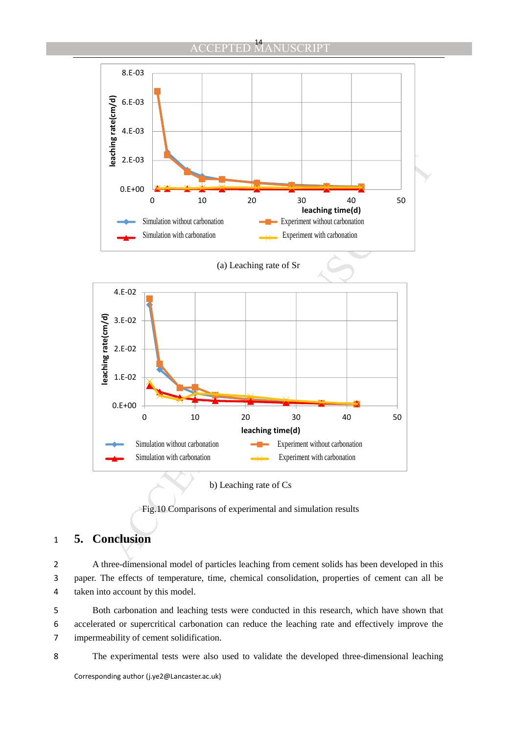



b) Leaching rate of Cs

Fig.10 Comparisons of experimental and simulation results

## 1 **5. Conclusion**

2 A three-dimensional model of particles leaching from cement solids has been developed in this 3 paper. The effects of temperature, time, chemical consolidation, properties of cement can all be 4 taken into account by this model.

5 Both carbonation and leaching tests were conducted in this research, which have shown that 6 accelerated or supercritical carbonation can reduce the leaching rate and effectively improve the 7 impermeability of cement solidification.

8 The experimental tests were also used to validate the developed three-dimensional leaching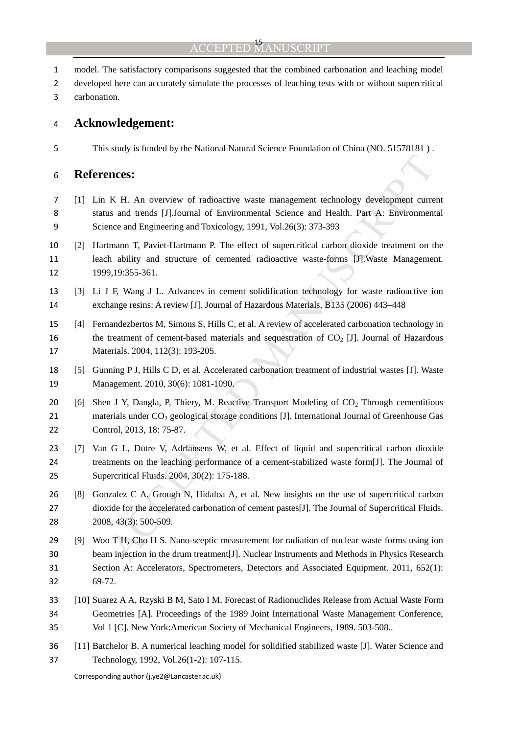#### **ACCEPTED**

- model. The satisfactory comparisons suggested that the combined carbonation and leaching model
- developed here can accurately simulate the processes of leaching tests with or without supercritical
- carbonation.

### **Acknowledgement:**

This study is funded by the National Natural Science Foundation of China (NO. 51578181 ) .

### **References:**

- **EXECT:**<br> **KETA:** An overview of radioactive waste management technology development curre<br>
IS and thrends [JJJournal of Environmental Science and Health. Part A: Environment<br>
Increase and Engineering and Toxicology, 1991, [1] Lin K H. An overview of radioactive waste management technology development current status and trends [J].Journal of Environmental Science and Health. Part A: Environmental Science and Engineering and Toxicology, 1991, Vol.26(3): 373-393
- [2] Hartmann T, Paviet-Hartmann P. The effect of supercritical carbon dioxide treatment on the leach ability and structure of cemented radioactive waste-forms [J].Waste Management. 1999,19:355-361.
- [3] Li J F, Wang J L. Advances in cement solidification technology for waste radioactive ion exchange resins: A review [J]. Journal of Hazardous Materials, B135 (2006) 443–448
- [4] Fernandezbertos M, Simons S, Hills C, et al. A review of accelerated carbonation technology in 16 the treatment of cement-based materials and sequestration of  $CO<sub>2</sub>$  [J]. Journal of Hazardous 17 Materials. 2004, 112(3): 193-205.
- [5] Gunning P J, Hills C D, et al. Accelerated carbonation treatment of industrial wastes [J]. Waste Management. 2010, 30(6): 1081-1090.
- 20 [6] Shen J Y, Dangla, P, Thiery, M. Reactive Transport Modeling of  $CO<sub>2</sub>$  Through cementitious 21 materials under  $CO<sub>2</sub>$  geological storage conditions [J]. International Journal of Greenhouse Gas Control, 2013, 18: 75-87.
- [7] Van G L, Dutre V, Adrlansens W, et al. Effect of liquid and supercritical carbon dioxide treatments on the leaching performance of a cement-stabilized waste form[J]. The Journal of Supercritical Fluids. 2004, 30(2): 175-188.
- [8] Gonzalez C A, Grough N, Hidaloa A, et al. New insights on the use of supercritical carbon dioxide for the accelerated carbonation of cement pastes[J]. The Journal of Supercritical Fluids. 2008, 43(3): 500-509.
- [9] Woo T H, Cho H S. Nano-sceptic measurement for radiation of nuclear waste forms using ion beam injection in the drum treatment[J]. Nuclear Instruments and Methods in Physics Research Section A: Accelerators, Spectrometers, Detectors and Associated Equipment. 2011, 652(1): 69-72.
- [10] Suarez A A, Rzyski B M, Sato I M. Forecast of Radionuclides Release from Actual Waste Form Geometries [A]. Proceedings of the 1989 Joint International Waste Management Conference, Vol 1 [C]. New York:American Society of Mechanical Engineers, 1989. 503-508..
- [11] Batchelor B. A numerical leaching model for solidified stabilized waste [J]. Water Science and Technology, 1992, Vol.26(1-2): 107-115.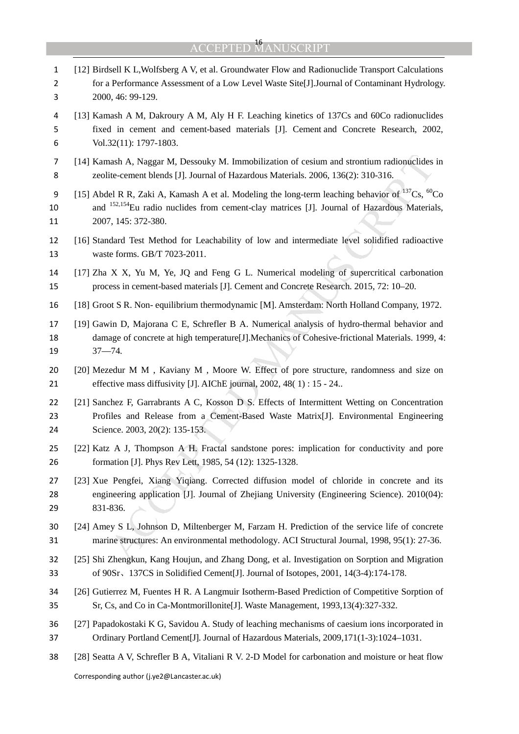| $\mathbf{1}$<br>2<br>3 | [12] Birdsell K L, Wolfsberg A V, et al. Groundwater Flow and Radionuclide Transport Calculations<br>for a Performance Assessment of a Low Level Waste Site[J].Journal of Contaminant Hydrology.<br>2000, 46: 99-129.                        |
|------------------------|----------------------------------------------------------------------------------------------------------------------------------------------------------------------------------------------------------------------------------------------|
| 4<br>5<br>6            | [13] Kamash A M, Dakroury A M, Aly H F. Leaching kinetics of 137Cs and 60Co radionuclides<br>fixed in cement and cement-based materials [J]. Cement and Concrete Research, 2002,<br>Vol.32(11): 1797-1803.                                   |
| 7<br>8                 | [14] Kamash A, Naggar M, Dessouky M. Immobilization of cesium and strontium radionuclides in<br>zeolite-cement blends [J]. Journal of Hazardous Materials. 2006, 136(2): 310-316.                                                            |
| 9<br>10<br>11          | [15] Abdel R R, Zaki A, Kamash A et al. Modeling the long-term leaching behavior of $^{137}Cs$ , $^{60}Co$<br>and <sup>152,154</sup> Eu radio nuclides from cement-clay matrices [J]. Journal of Hazardous Materials,<br>2007, 145: 372-380. |
| 12<br>13               | [16] Standard Test Method for Leachability of low and intermediate level solidified radioactive<br>waste forms. GB/T 7023-2011.                                                                                                              |
| 14<br>15               | [17] Zha X X, Yu M, Ye, JQ and Feng G L. Numerical modeling of supercritical carbonation<br>process in cement-based materials [J]. Cement and Concrete Research. 2015, 72: 10–20.                                                            |
| 16                     | [18] Groot S R. Non-equilibrium thermodynamic [M]. Amsterdam: North Holland Company, 1972.                                                                                                                                                   |
| 17<br>18<br>19         | [19] Gawin D, Majorana C E, Schrefler B A. Numerical analysis of hydro-thermal behavior and<br>damage of concrete at high temperature [J]. Mechanics of Cohesive-frictional Materials. 1999, 4:<br>$37 - 74.$                                |
| 20<br>21               | [20] Mezedur M M, Kaviany M, Moore W. Effect of pore structure, randomness and size on<br>effective mass diffusivity [J]. AIChE journal, 2002, 48(1): 15 - 24                                                                                |
| 22<br>23<br>24         | [21] Sanchez F, Garrabrants A C, Kosson D S. Effects of Intermittent Wetting on Concentration<br>Profiles and Release from a Cement-Based Waste Matrix[J]. Environmental Engineering<br>Science. 2003, 20(2): 135-153.                       |
| 25<br>26               | [22] Katz A J, Thompson A H. Fractal sandstone pores: implication for conductivity and pore<br>formation [J]. Phys Rev Lett, 1985, 54 (12): 1325-1328.                                                                                       |
| 27<br>28<br>29         | [23] Xue Pengfei, Xiang Yiqiang. Corrected diffusion model of chloride in concrete and its<br>engineering application [J]. Journal of Zhejiang University (Engineering Science). 2010(04):<br>831-836.                                       |
| 30<br>31               | [24] Amey S L, Johnson D, Miltenberger M, Farzam H. Prediction of the service life of concrete<br>marine structures: An environmental methodology. ACI Structural Journal, 1998, 95(1): 27-36.                                               |
| 32<br>33               | [25] Shi Zhengkun, Kang Houjun, and Zhang Dong, et al. Investigation on Sorption and Migration<br>of 90Sr, 137CS in Solidified Cement [J]. Journal of Isotopes, 2001, 14(3-4):174-178.                                                       |
| 34<br>35               | [26] Gutierrez M, Fuentes H R. A Langmuir Isotherm-Based Prediction of Competitive Sorption of<br>Sr, Cs, and Co in Ca-Montmorillonite[J]. Waste Management, 1993,13(4):327-332.                                                             |
| 36<br>37               | [27] Papadokostaki K G, Savidou A. Study of leaching mechanisms of caesium ions incorporated in<br>Ordinary Portland Cement[J]. Journal of Hazardous Materials, 2009,171(1-3):1024-1031.                                                     |
| 38                     | [28] Seatta A V, Schrefler B A, Vitaliani R V. 2-D Model for carbonation and moisture or heat flow                                                                                                                                           |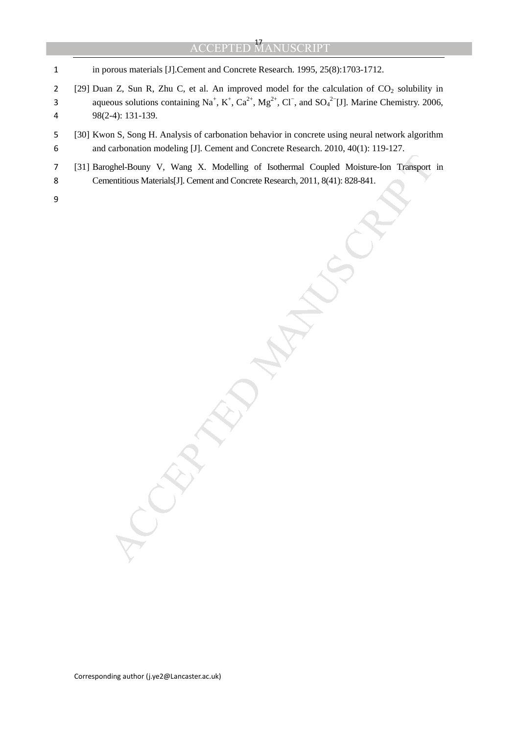1 in porous materials [J].Cement and Concrete Research. 1995, 25(8):1703-1712.

- 2 [29] Duan Z, Sun R, Zhu C, et al. An improved model for the calculation of  $CO_2$  solubility in aqueous solutions containing Na<sup>+</sup>, K<sup>+</sup>, Ca<sup>2+</sup>, Mg<sup>2+</sup>, Cl<sup>−</sup>, and SO<sub>4</sub><sup>2-</sup>[J]. Marine Chemistry. 2006, 4 98(2-4): 131-139.
- 5 [30] Kwon S, Song H. Analysis of carbonation behavior in concrete using neural network algorithm 6 and carbonation modeling [J]. Cement and Concrete Research. 2010, 40(1): 119-127.
- Sphel-Bouny V, Wang X. Modelling of Isothermal Coupled Moisture-Ion Transport<br>nentitious Materials[J]. Cement and Concrete Research, 2011, 8(41): 828-841. 7 [31] Baroghel-Bouny V, Wang X. Modelling of Isothermal Coupled Moisture-Ion Transport in 8 Cementitious Materials[J]. Cement and Concrete Research, 2011, 8(41): 828-841.
- 9